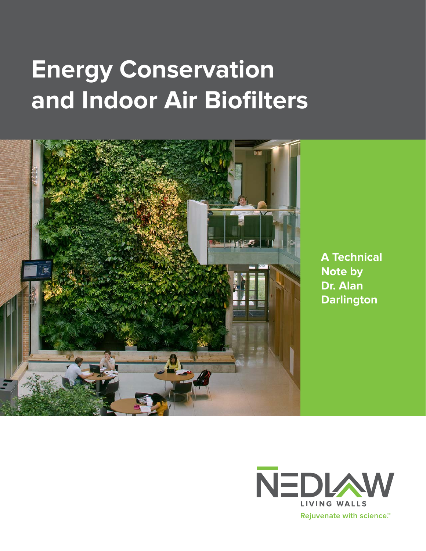# **Energy Conservation and Indoor Air Biofilters**



**A Technical Note by Dr. Alan Darlington**

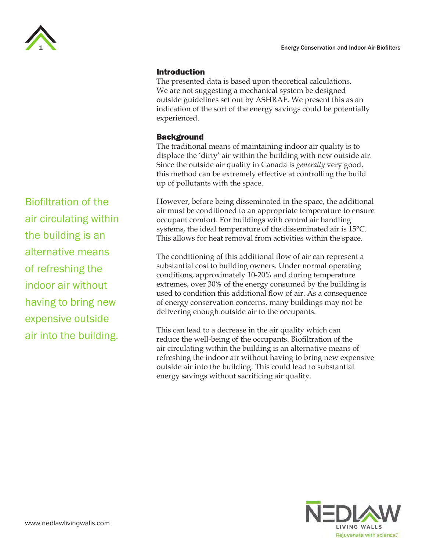

### Introduction

The presented data is based upon theoretical calculations. We are not suggesting a mechanical system be designed outside guidelines set out by ASHRAE. We present this as an indication of the sort of the energy savings could be potentially experienced.

### **Background**

The traditional means of maintaining indoor air quality is to displace the 'dirty' air within the building with new outside air. Since the outside air quality in Canada is *generally* very good, this method can be extremely effective at controlling the build up of pollutants with the space.

However, before being disseminated in the space, the additional air must be conditioned to an appropriate temperature to ensure occupant comfort. For buildings with central air handling systems, the ideal temperature of the disseminated air is 15°C. This allows for heat removal from activities within the space.

The conditioning of this additional flow of air can represent a substantial cost to building owners. Under normal operating conditions, approximately 10-20% and during temperature extremes, over 30% of the energy consumed by the building is used to condition this additional flow of air. As a consequence of energy conservation concerns, many buildings may not be delivering enough outside air to the occupants.

This can lead to a decrease in the air quality which can reduce the well-being of the occupants. Biofiltration of the air circulating within the building is an alternative means of refreshing the indoor air without having to bring new expensive outside air into the building. This could lead to substantial energy savings without sacrificing air quality.



Biofiltration of the air circulating within the building is an alternative means of refreshing the indoor air without having to bring new expensive outside air into the building.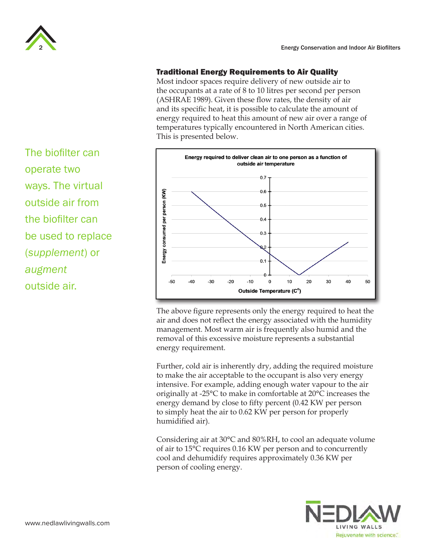

# Traditional Energy Requirements to Air Quality

Most indoor spaces require delivery of new outside air to the occupants at a rate of 8 to 10 litres per second per person (ASHRAE 1989). Given these flow rates, the density of air and its specific heat, it is possible to calculate the amount of energy required to heat this amount of new air over a range of temperatures typically encountered in North American cities. This is presented below.



The above figure represents only the energy required to heat the air and does not reflect the energy associated with the humidity management. Most warm air is frequently also humid and the removal of this excessive moisture represents a substantial energy requirement.

Further, cold air is inherently dry, adding the required moisture to make the air acceptable to the occupant is also very energy intensive. For example, adding enough water vapour to the air originally at -25°C to make in comfortable at 20°C increases the energy demand by close to fifty percent (0.42 KW per person to simply heat the air to 0.62 KW per person for properly humidified air).

Considering air at 30°C and 80%RH, to cool an adequate volume of air to 15°C requires 0.16 KW per person and to concurrently cool and dehumidify requires approximately 0.36 KW per person of cooling energy.



The biofilter can operate two ways. The virtual outside air from the biofilter can be used to replace (*supplement*) or *augment* outside air.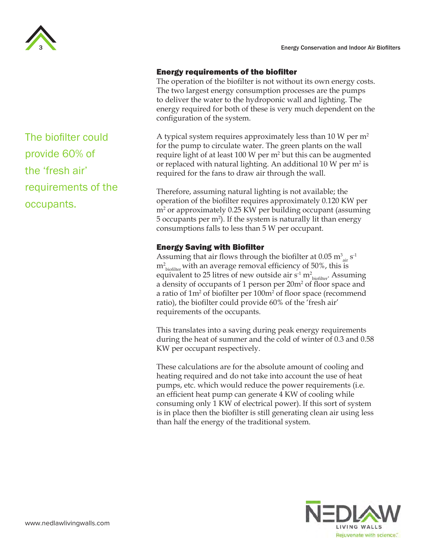

## Energy requirements of the biofilter

The operation of the biofilter is not without its own energy costs. The two largest energy consumption processes are the pumps to deliver the water to the hydroponic wall and lighting. The energy required for both of these is very much dependent on the configuration of the system.

A typical system requires approximately less than 10 W per  $m<sup>2</sup>$ for the pump to circulate water. The green plants on the wall require light of at least 100 W per  $m<sup>2</sup>$  but this can be augmented or replaced with natural lighting. An additional  $10 \text{ W}$  per m<sup>2</sup> is required for the fans to draw air through the wall.

Therefore, assuming natural lighting is not available; the operation of the biofilter requires approximately 0.120 KW per m2 or approximately 0.25 KW per building occupant (assuming 5 occupants per  $m^2$ ). If the system is naturally lit than energy consumptions falls to less than 5 W per occupant.

## Energy Saving with Biofilter

Assuming that air flows through the biofilter at  $0.05 \text{ m}^3\textsubscript{air} \text{ s}^{-1}$  $m^2_{\text{ biofilter}}$  with an average removal efficiency of 50%, this is equivalent to 25 litres of new outside air  $s^1 m_{\text{bofilter}}^2$ . Assuming a density of occupants of 1 person per 20m<sup>2</sup> of floor space and a ratio of 1m<sup>2</sup> of biofilter per 100m<sup>2</sup> of floor space (recommend ratio), the biofilter could provide 60% of the 'fresh air' requirements of the occupants.

This translates into a saving during peak energy requirements during the heat of summer and the cold of winter of 0.3 and 0.58 KW per occupant respectively.

These calculations are for the absolute amount of cooling and heating required and do not take into account the use of heat pumps, etc. which would reduce the power requirements (i.e. an efficient heat pump can generate 4 KW of cooling while consuming only 1 KW of electrical power). If this sort of system is in place then the biofilter is still generating clean air using less than half the energy of the traditional system.



The biofilter could provide 60% of the 'fresh air' requirements of the occupants.